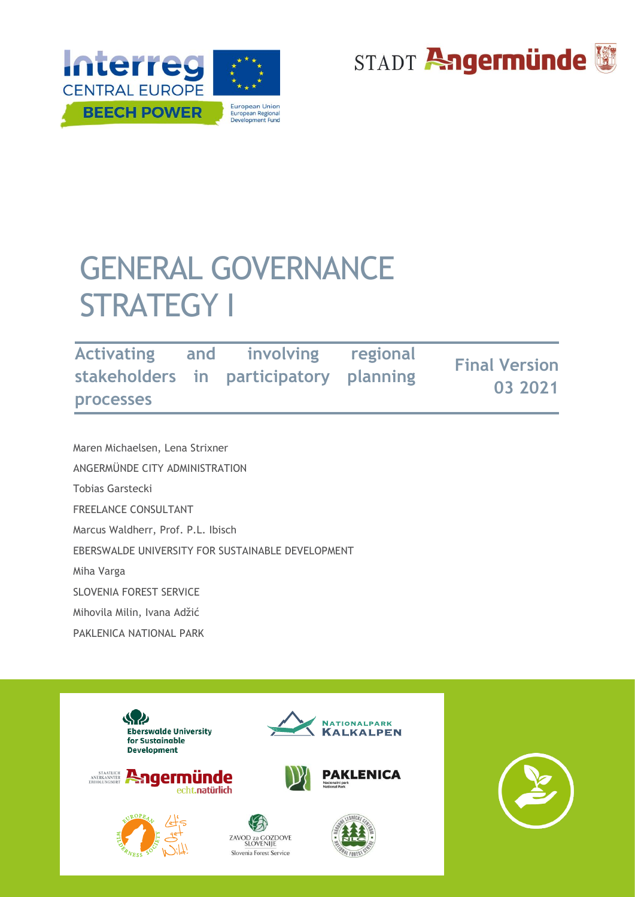



# GENERAL GOVERNANCE STRATEGY I

| <b>Activating</b> | and involving regional<br>stakeholders in participatory planning | <b>Final Version</b><br>03 2021 |
|-------------------|------------------------------------------------------------------|---------------------------------|
| <b>processes</b>  |                                                                  |                                 |

 Maren Michaelsen, Lena Strixner ANGERMÜNDE CITY ADMINISTRATION Tobias Garstecki FREELANCE CONSULTANT Marcus Waldherr, Prof. P.L. Ibisch EBERSWALDE UNIVERSITY FOR SUSTAINABLE DEVELOPMENT Miha Varga SLOVENIA FOREST SERVICE Mihovila Milin, Ivana Adžić PAKLENICA NATIONAL PARK

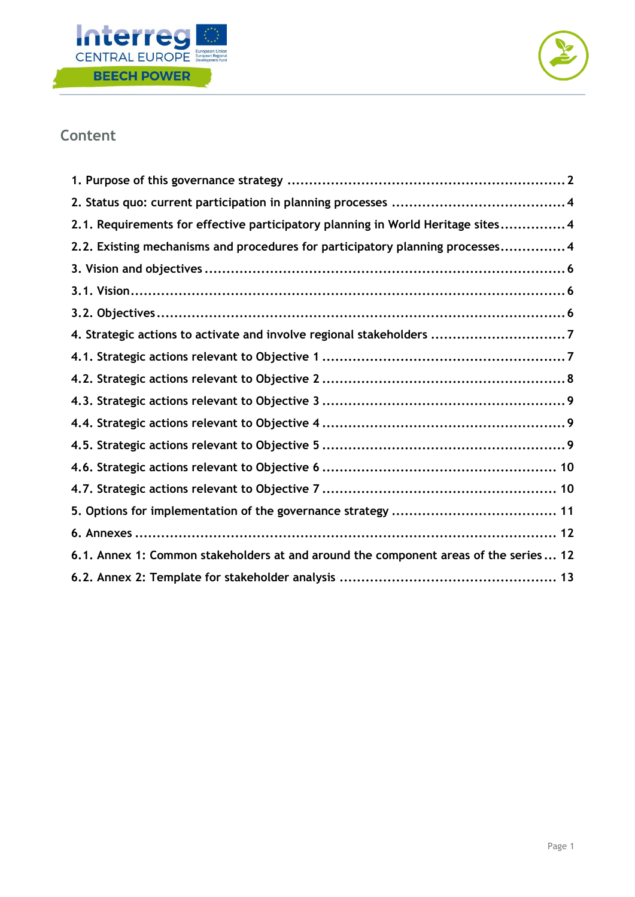



## **Content**

| 2.1. Requirements for effective participatory planning in World Heritage sites 4     |
|--------------------------------------------------------------------------------------|
| 2.2. Existing mechanisms and procedures for participatory planning processes 4       |
|                                                                                      |
|                                                                                      |
|                                                                                      |
| 4. Strategic actions to activate and involve regional stakeholders 7                 |
|                                                                                      |
|                                                                                      |
|                                                                                      |
|                                                                                      |
|                                                                                      |
|                                                                                      |
|                                                                                      |
|                                                                                      |
|                                                                                      |
| 6.1. Annex 1: Common stakeholders at and around the component areas of the series 12 |
|                                                                                      |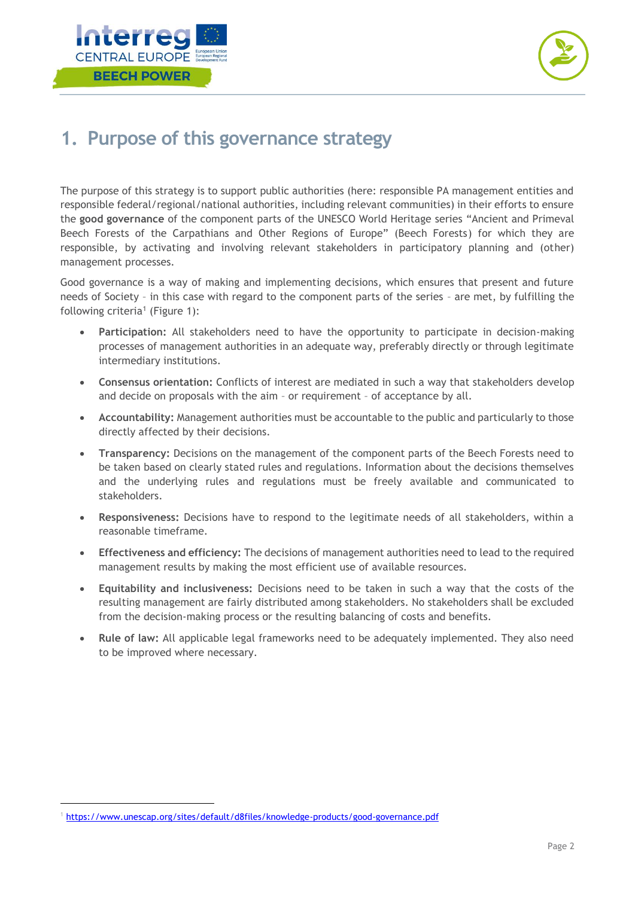



## <span id="page-2-0"></span>**1. Purpose of this governance strategy**

The purpose of this strategy is to support public authorities (here: responsible PA management entities and responsible federal/regional/national authorities, including relevant communities) in their efforts to ensure the **good governance** of the component parts of the UNESCO World Heritage series "Ancient and Primeval Beech Forests of the Carpathians and Other Regions of Europe" (Beech Forests) for which they are responsible, by activating and involving relevant stakeholders in participatory planning and (other) management processes.

Good governance is a way of making and implementing decisions, which ensures that present and future needs of Society – in this case with regard to the component parts of the series – are met, by fulfilling the following criteria<sup>1</sup> (Figure 1):

- **Participation:** All stakeholders need to have the opportunity to participate in decision-making processes of management authorities in an adequate way, preferably directly or through legitimate intermediary institutions.
- **Consensus orientation:** Conflicts of interest are mediated in such a way that stakeholders develop and decide on proposals with the aim – or requirement – of acceptance by all.
- **Accountability:** Management authorities must be accountable to the public and particularly to those directly affected by their decisions.
- **Transparency:** Decisions on the management of the component parts of the Beech Forests need to be taken based on clearly stated rules and regulations. Information about the decisions themselves and the underlying rules and regulations must be freely available and communicated to stakeholders.
- **Responsiveness:** Decisions have to respond to the legitimate needs of all stakeholders, within a reasonable timeframe.
- **Effectiveness and efficiency:** The decisions of management authorities need to lead to the required management results by making the most efficient use of available resources.
- **Equitability and inclusiveness:** Decisions need to be taken in such a way that the costs of the resulting management are fairly distributed among stakeholders. No stakeholders shall be excluded from the decision-making process or the resulting balancing of costs and benefits.
- **Rule of law:** All applicable legal frameworks need to be adequately implemented. They also need to be improved where necessary.

<sup>1</sup> <https://www.unescap.org/sites/default/d8files/knowledge-products/good-governance.pdf>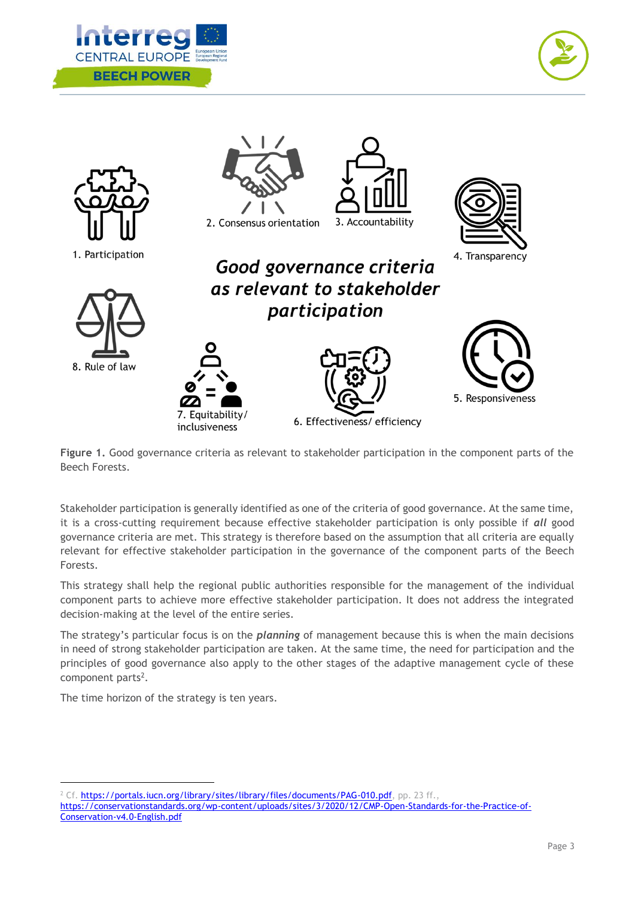





**Figure 1.** Good governance criteria as relevant to stakeholder participation in the component parts of the Beech Forests.

Stakeholder participation is generally identified as one of the criteria of good governance. At the same time, it is a cross-cutting requirement because effective stakeholder participation is only possible if *all* good governance criteria are met. This strategy is therefore based on the assumption that all criteria are equally relevant for effective stakeholder participation in the governance of the component parts of the Beech Forests.

This strategy shall help the regional public authorities responsible for the management of the individual component parts to achieve more effective stakeholder participation. It does not address the integrated decision-making at the level of the entire series.

The strategy's particular focus is on the *planning* of management because this is when the main decisions in need of strong stakeholder participation are taken. At the same time, the need for participation and the principles of good governance also apply to the other stages of the adaptive management cycle of these component parts<sup>2</sup>.

The time horizon of the strategy is ten years.

<sup>2</sup> Cf. [https://portals.iucn.org/library/sites/library/files/documents/PAG-010.pdf,](https://portals.iucn.org/library/sites/library/files/documents/PAG-010.pdf) pp. 23 ff., [https://conservationstandards.org/wp-content/uploads/sites/3/2020/12/CMP-Open-Standards-for-the-Practice-of-](https://conservationstandards.org/wp-content/uploads/sites/3/2020/12/CMP-Open-Standards-for-the-Practice-of-Conservation-v4.0-English.pdf)[Conservation-v4.0-English.pdf](https://conservationstandards.org/wp-content/uploads/sites/3/2020/12/CMP-Open-Standards-for-the-Practice-of-Conservation-v4.0-English.pdf)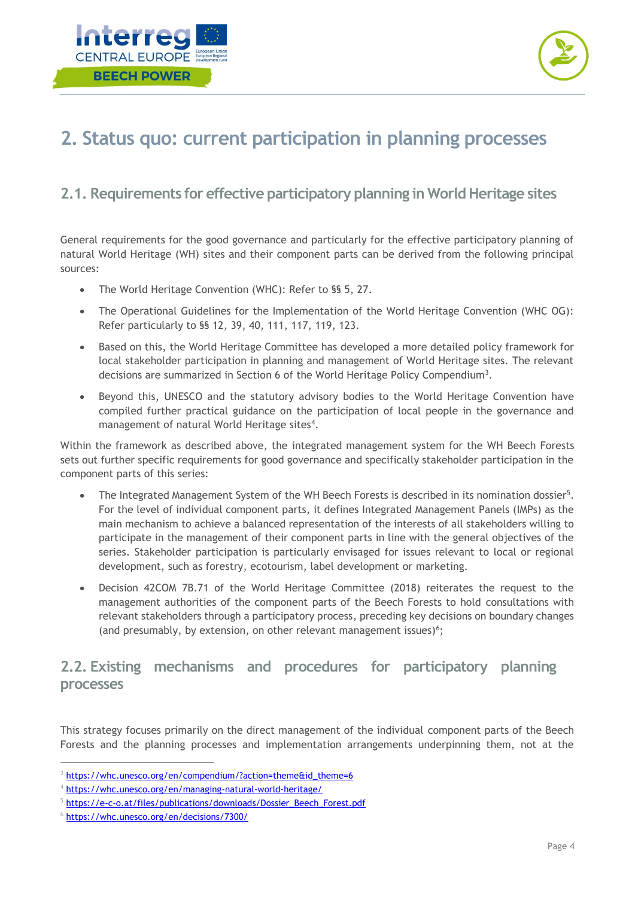



## <span id="page-4-0"></span>**2. Status quo: current participation in planning processes**

### <span id="page-4-1"></span>**2.1. Requirements for effective participatory planning in World Heritage sites**

General requirements for the good governance and particularly for the effective participatory planning of natural World Heritage (WH) sites and their component parts can be derived from the following principal sources:

- The World Heritage Convention (WHC): Refer to §§ 5, 27.
- The Operational Guidelines for the Implementation of the World Heritage Convention (WHC OG): Refer particularly to §§ 12, 39, 40, 111, 117, 119, 123.
- Based on this, the World Heritage Committee has developed a more detailed policy framework for local stakeholder participation in planning and management of World Heritage sites. The relevant decisions are summarized in Section 6 of the World Heritage Policy Compendium<sup>3</sup>.
- Beyond this, UNESCO and the statutory advisory bodies to the World Heritage Convention have compiled further practical guidance on the participation of local people in the governance and management of natural World Heritage sites<sup>4</sup>.

Within the framework as described above, the integrated management system for the WH Beech Forests sets out further specific requirements for good governance and specifically stakeholder participation in the component parts of this series:

- The Integrated Management System of the WH Beech Forests is described in its nomination dossier<sup>5</sup>. For the level of individual component parts, it defines Integrated Management Panels (IMPs) as the main mechanism to achieve a balanced representation of the interests of all stakeholders willing to participate in the management of their component parts in line with the general objectives of the series. Stakeholder participation is particularly envisaged for issues relevant to local or regional development, such as forestry, ecotourism, label development or marketing.
- Decision 42COM 7B.71 of the World Heritage Committee (2018) reiterates the request to the management authorities of the component parts of the Beech Forests to hold consultations with relevant stakeholders through a participatory process, preceding key decisions on boundary changes (and presumably, by extension, on other relevant management issues)<sup>6</sup>;

### <span id="page-4-2"></span>**2.2. Existing mechanisms and procedures for participatory planning processes**

This strategy focuses primarily on the direct management of the individual component parts of the Beech Forests and the planning processes and implementation arrangements underpinning them, not at the

<sup>&</sup>lt;sup>3</sup> [https://whc.unesco.org/en/compendium/?action=theme&id\\_theme=6](https://whc.unesco.org/en/compendium/?action=theme&id_theme=6)

<sup>4</sup> <https://whc.unesco.org/en/managing-natural-world-heritage/>

<sup>5</sup> [https://e-c-o.at/files/publications/downloads/Dossier\\_Beech\\_Forest.pdf](https://e-c-o.at/files/publications/downloads/Dossier_Beech_Forest.pdf)

<sup>6</sup> <https://whc.unesco.org/en/decisions/7300/>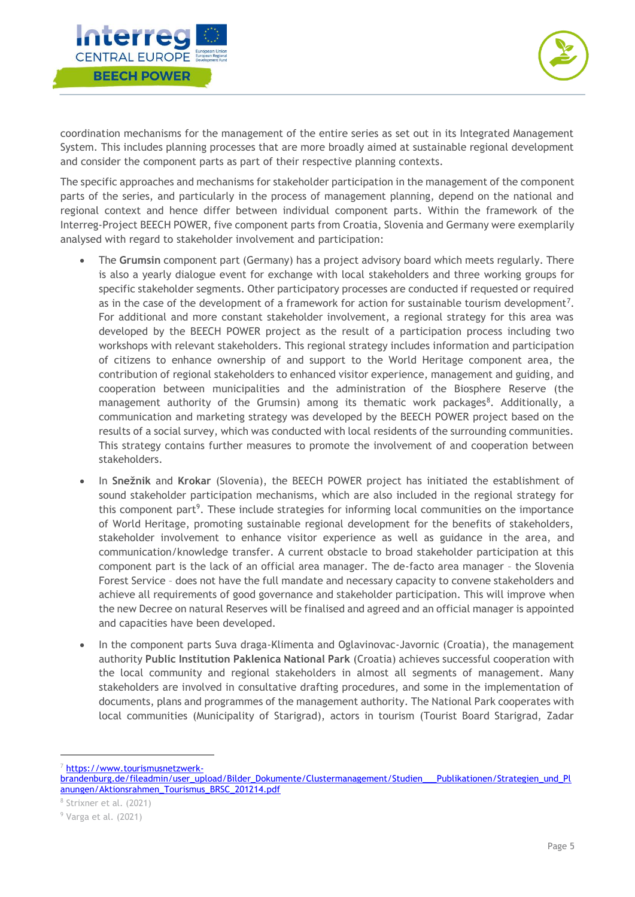



coordination mechanisms for the management of the entire series as set out in its Integrated Management System. This includes planning processes that are more broadly aimed at sustainable regional development and consider the component parts as part of their respective planning contexts.

The specific approaches and mechanisms for stakeholder participation in the management of the component parts of the series, and particularly in the process of management planning, depend on the national and regional context and hence differ between individual component parts. Within the framework of the Interreg-Project BEECH POWER, five component parts from Croatia, Slovenia and Germany were exemplarily analysed with regard to stakeholder involvement and participation:

- The **Grumsin** component part (Germany) has a project advisory board which meets regularly. There is also a yearly dialogue event for exchange with local stakeholders and three working groups for specific stakeholder segments. Other participatory processes are conducted if requested or required as in the case of the development of a framework for action for sustainable tourism development<sup>7</sup>. For additional and more constant stakeholder involvement, a regional strategy for this area was developed by the BEECH POWER project as the result of a participation process including two workshops with relevant stakeholders. This regional strategy includes information and participation of citizens to enhance ownership of and support to the World Heritage component area, the contribution of regional stakeholders to enhanced visitor experience, management and guiding, and cooperation between municipalities and the administration of the Biosphere Reserve (the management authority of the Grumsin) among its thematic work packages<sup>8</sup>. Additionally, a communication and marketing strategy was developed by the BEECH POWER project based on the results of a social survey, which was conducted with local residents of the surrounding communities. This strategy contains further measures to promote the involvement of and cooperation between stakeholders.
- In **Snežnik** and **Krokar** (Slovenia), the BEECH POWER project has initiated the establishment of sound stakeholder participation mechanisms, which are also included in the regional strategy for this component part<sup>9</sup>. These include strategies for informing local communities on the importance of World Heritage, promoting sustainable regional development for the benefits of stakeholders, stakeholder involvement to enhance visitor experience as well as guidance in the area, and communication/knowledge transfer. A current obstacle to broad stakeholder participation at this component part is the lack of an official area manager. The de-facto area manager – the Slovenia Forest Service – does not have the full mandate and necessary capacity to convene stakeholders and achieve all requirements of good governance and stakeholder participation. This will improve when the new Decree on natural Reserves will be finalised and agreed and an official manager is appointed and capacities have been developed.
- In the component parts Suva draga-Klimenta and Oglavinovac-Javornic (Croatia), the management authority **Public Institution Paklenica National Park** (Croatia) achieves successful cooperation with the local community and regional stakeholders in almost all segments of management. Many stakeholders are involved in consultative drafting procedures, and some in the implementation of documents, plans and programmes of the management authority. The National Park cooperates with local communities (Municipality of Starigrad), actors in tourism (Tourist Board Starigrad, Zadar

[https://www.tourismusnetzwerk-](https://www.tourismusnetzwerk-brandenburg.de/fileadmin/user_upload/Bilder_Dokumente/Clustermanagement/Studien___Publikationen/Strategien_und_Planungen/Aktionsrahmen_Tourismus_BRSC_201214.pdf)

[brandenburg.de/fileadmin/user\\_upload/Bilder\\_Dokumente/Clustermanagement/Studien\\_\\_\\_Publikationen/Strategien\\_und\\_Pl](https://www.tourismusnetzwerk-brandenburg.de/fileadmin/user_upload/Bilder_Dokumente/Clustermanagement/Studien___Publikationen/Strategien_und_Planungen/Aktionsrahmen_Tourismus_BRSC_201214.pdf) [anungen/Aktionsrahmen\\_Tourismus\\_BRSC\\_201214.pdf](https://www.tourismusnetzwerk-brandenburg.de/fileadmin/user_upload/Bilder_Dokumente/Clustermanagement/Studien___Publikationen/Strategien_und_Planungen/Aktionsrahmen_Tourismus_BRSC_201214.pdf)

<sup>8</sup> Strixner et al. (2021)

<sup>9</sup> Varga et al. (2021)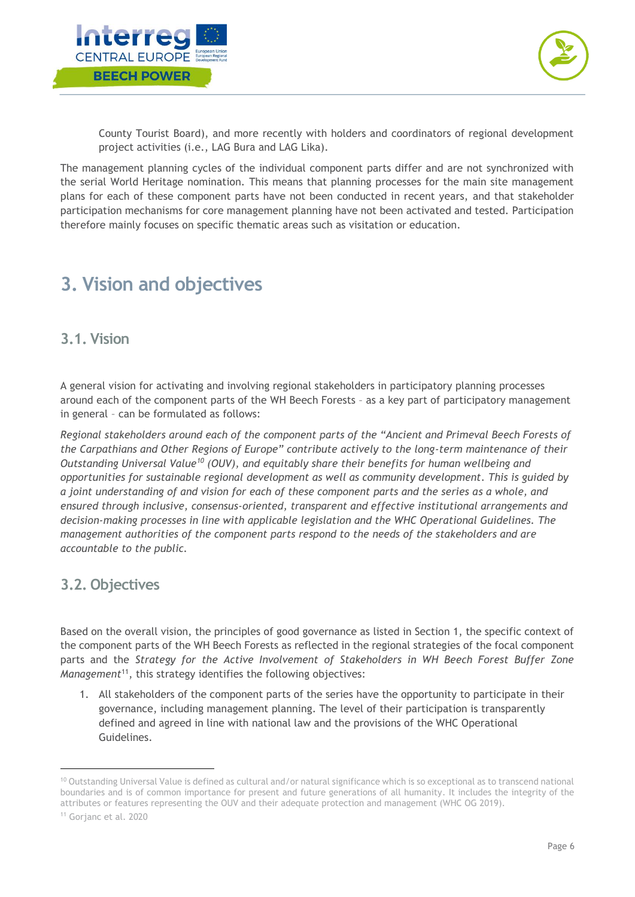



County Tourist Board), and more recently with holders and coordinators of regional development project activities (i.e., LAG Bura and LAG Lika).

The management planning cycles of the individual component parts differ and are not synchronized with the serial World Heritage nomination. This means that planning processes for the main site management plans for each of these component parts have not been conducted in recent years, and that stakeholder participation mechanisms for core management planning have not been activated and tested. Participation therefore mainly focuses on specific thematic areas such as visitation or education.

## <span id="page-6-0"></span>**3. Vision and objectives**

#### <span id="page-6-1"></span>**3.1. Vision**

A general vision for activating and involving regional stakeholders in participatory planning processes around each of the component parts of the WH Beech Forests – as a key part of participatory management in general – can be formulated as follows:

*Regional stakeholders around each of the component parts of the "Ancient and Primeval Beech Forests of the Carpathians and Other Regions of Europe" contribute actively to the long-term maintenance of their Outstanding Universal Value<sup>10</sup> (OUV), and equitably share their benefits for human wellbeing and opportunities for sustainable regional development as well as community development. This is guided by a joint understanding of and vision for each of these component parts and the series as a whole, and ensured through inclusive, consensus-oriented, transparent and effective institutional arrangements and decision-making processes in line with applicable legislation and the WHC Operational Guidelines. The management authorities of the component parts respond to the needs of the stakeholders and are accountable to the public.* 

#### <span id="page-6-2"></span>**3.2. Objectives**

Based on the overall vision, the principles of good governance as listed in Section 1, the specific context of the component parts of the WH Beech Forests as reflected in the regional strategies of the focal component parts and the *Strategy for the Active Involvement of Stakeholders in WH Beech Forest Buffer Zone Management*<sup>11</sup>, this strategy identifies the following objectives:

1. All stakeholders of the component parts of the series have the opportunity to participate in their governance, including management planning. The level of their participation is transparently defined and agreed in line with national law and the provisions of the WHC Operational Guidelines.

<sup>&</sup>lt;sup>10</sup> Outstanding Universal Value is defined as cultural and/or natural significance which is so exceptional as to transcend national boundaries and is of common importance for present and future generations of all humanity. It includes the integrity of the attributes or features representing the OUV and their adequate protection and management (WHC OG 2019).

<sup>11</sup> Gorjanc et al. 2020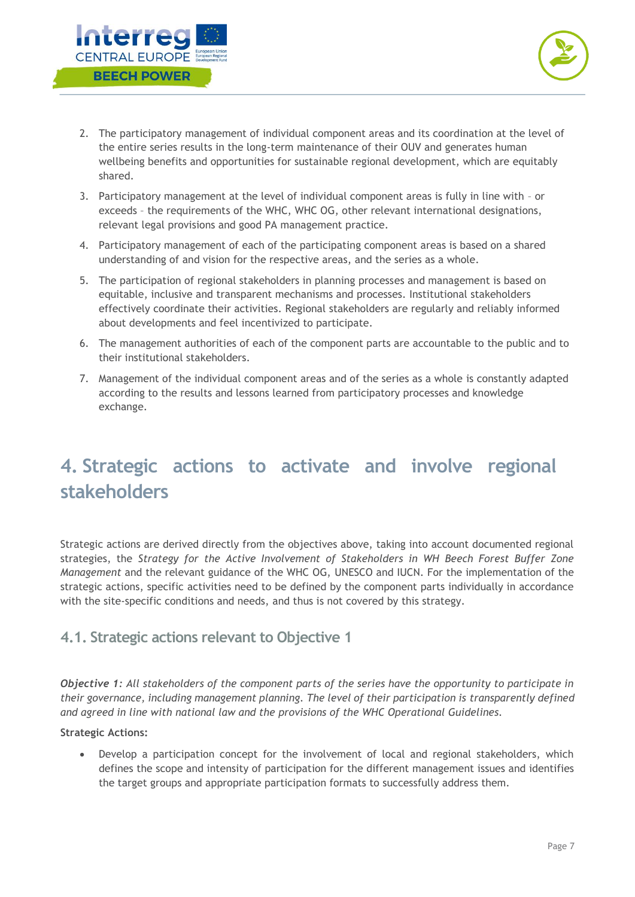



- 2. The participatory management of individual component areas and its coordination at the level of the entire series results in the long-term maintenance of their OUV and generates human wellbeing benefits and opportunities for sustainable regional development, which are equitably shared.
- 3. Participatory management at the level of individual component areas is fully in line with or exceeds – the requirements of the WHC, WHC OG, other relevant international designations, relevant legal provisions and good PA management practice.
- 4. Participatory management of each of the participating component areas is based on a shared understanding of and vision for the respective areas, and the series as a whole.
- 5. The participation of regional stakeholders in planning processes and management is based on equitable, inclusive and transparent mechanisms and processes. Institutional stakeholders effectively coordinate their activities. Regional stakeholders are regularly and reliably informed about developments and feel incentivized to participate.
- 6. The management authorities of each of the component parts are accountable to the public and to their institutional stakeholders.
- 7. Management of the individual component areas and of the series as a whole is constantly adapted according to the results and lessons learned from participatory processes and knowledge exchange.

## <span id="page-7-0"></span>**4. Strategic actions to activate and involve regional stakeholders**

Strategic actions are derived directly from the objectives above, taking into account documented regional strategies, the *Strategy for the Active Involvement of Stakeholders in WH Beech Forest Buffer Zone Management* and the relevant guidance of the WHC OG, UNESCO and IUCN. For the implementation of the strategic actions, specific activities need to be defined by the component parts individually in accordance with the site-specific conditions and needs, and thus is not covered by this strategy.

#### <span id="page-7-1"></span>**4.1. Strategic actions relevant to Objective 1**

*Objective 1: All stakeholders of the component parts of the series have the opportunity to participate in their governance, including management planning. The level of their participation is transparently defined and agreed in line with national law and the provisions of the WHC Operational Guidelines.*

#### **Strategic Actions:**

• Develop a participation concept for the involvement of local and regional stakeholders, which defines the scope and intensity of participation for the different management issues and identifies the target groups and appropriate participation formats to successfully address them.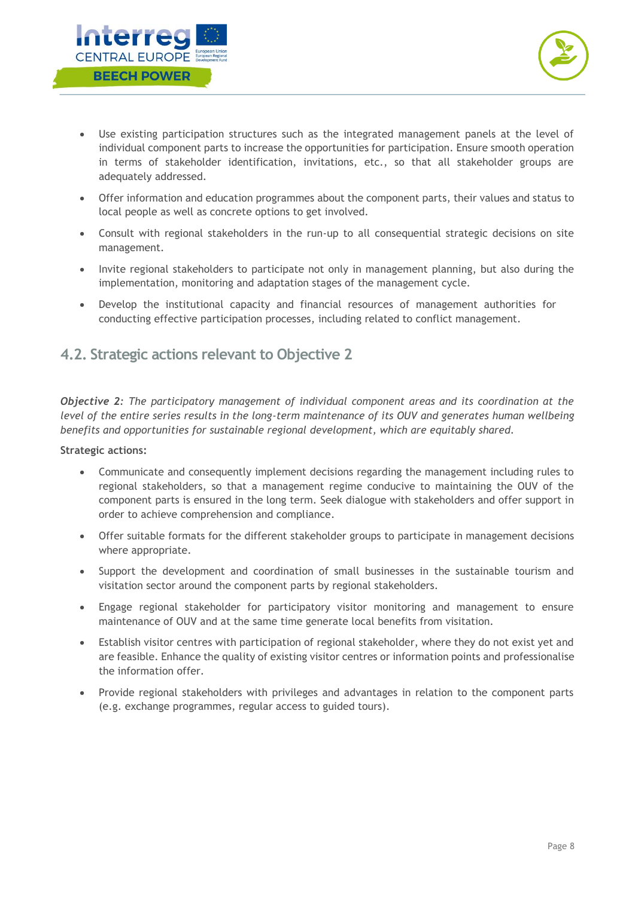



- Use existing participation structures such as the integrated management panels at the level of individual component parts to increase the opportunities for participation. Ensure smooth operation in terms of stakeholder identification, invitations, etc., so that all stakeholder groups are adequately addressed.
- Offer information and education programmes about the component parts, their values and status to local people as well as concrete options to get involved.
- Consult with regional stakeholders in the run-up to all consequential strategic decisions on site management.
- Invite regional stakeholders to participate not only in management planning, but also during the implementation, monitoring and adaptation stages of the management cycle.
- Develop the institutional capacity and financial resources of management authorities for conducting effective participation processes, including related to conflict management.

### <span id="page-8-0"></span>**4.2. Strategic actions relevant to Objective 2**

*Objective 2: The participatory management of individual component areas and its coordination at the level of the entire series results in the long-term maintenance of its OUV and generates human wellbeing benefits and opportunities for sustainable regional development, which are equitably shared.*

#### **Strategic actions:**

- Communicate and consequently implement decisions regarding the management including rules to regional stakeholders, so that a management regime conducive to maintaining the OUV of the component parts is ensured in the long term. Seek dialogue with stakeholders and offer support in order to achieve comprehension and compliance.
- Offer suitable formats for the different stakeholder groups to participate in management decisions where appropriate.
- Support the development and coordination of small businesses in the sustainable tourism and visitation sector around the component parts by regional stakeholders.
- Engage regional stakeholder for participatory visitor monitoring and management to ensure maintenance of OUV and at the same time generate local benefits from visitation.
- Establish visitor centres with participation of regional stakeholder, where they do not exist yet and are feasible. Enhance the quality of existing visitor centres or information points and professionalise the information offer.
- Provide regional stakeholders with privileges and advantages in relation to the component parts (e.g. exchange programmes, regular access to guided tours).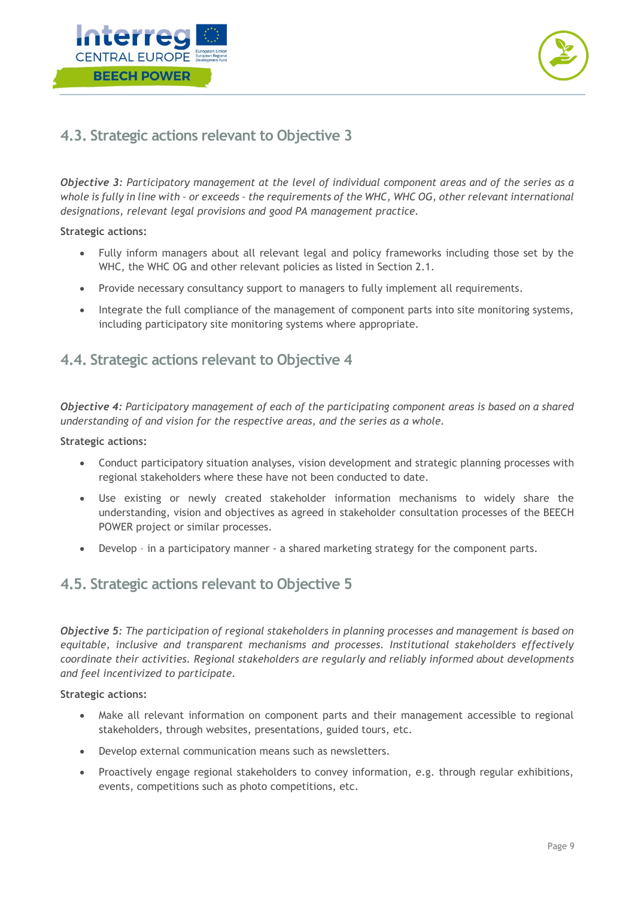



## <span id="page-9-0"></span>**4.3. Strategic actions relevant to Objective 3**

*Objective 3: Participatory management at the level of individual component areas and of the series as a whole is fully in line with – or exceeds – the requirements of the WHC, WHC OG, other relevant international designations, relevant legal provisions and good PA management practice.*

#### **Strategic actions:**

- Fully inform managers about all relevant legal and policy frameworks including those set by the WHC, the WHC OG and other relevant policies as listed in Section 2.1.
- Provide necessary consultancy support to managers to fully implement all requirements.
- Integrate the full compliance of the management of component parts into site monitoring systems, including participatory site monitoring systems where appropriate.

#### <span id="page-9-1"></span>**4.4. Strategic actions relevant to Objective 4**

*Objective 4: Participatory management of each of the participating component areas is based on a shared understanding of and vision for the respective areas, and the series as a whole.*

#### **Strategic actions:**

- Conduct participatory situation analyses, vision development and strategic planning processes with regional stakeholders where these have not been conducted to date.
- Use existing or newly created stakeholder information mechanisms to widely share the understanding, vision and objectives as agreed in stakeholder consultation processes of the BEECH POWER project or similar processes.
- Develop in a participatory manner a shared marketing strategy for the component parts.

#### <span id="page-9-2"></span>**4.5. Strategic actions relevant to Objective 5**

*Objective 5: The participation of regional stakeholders in planning processes and management is based on equitable, inclusive and transparent mechanisms and processes. Institutional stakeholders effectively coordinate their activities. Regional stakeholders are regularly and reliably informed about developments and feel incentivized to participate.*

#### **Strategic actions:**

- Make all relevant information on component parts and their management accessible to regional stakeholders, through websites, presentations, guided tours, etc.
- Develop external communication means such as newsletters.
- Proactively engage regional stakeholders to convey information, e.g. through regular exhibitions, events, competitions such as photo competitions, etc.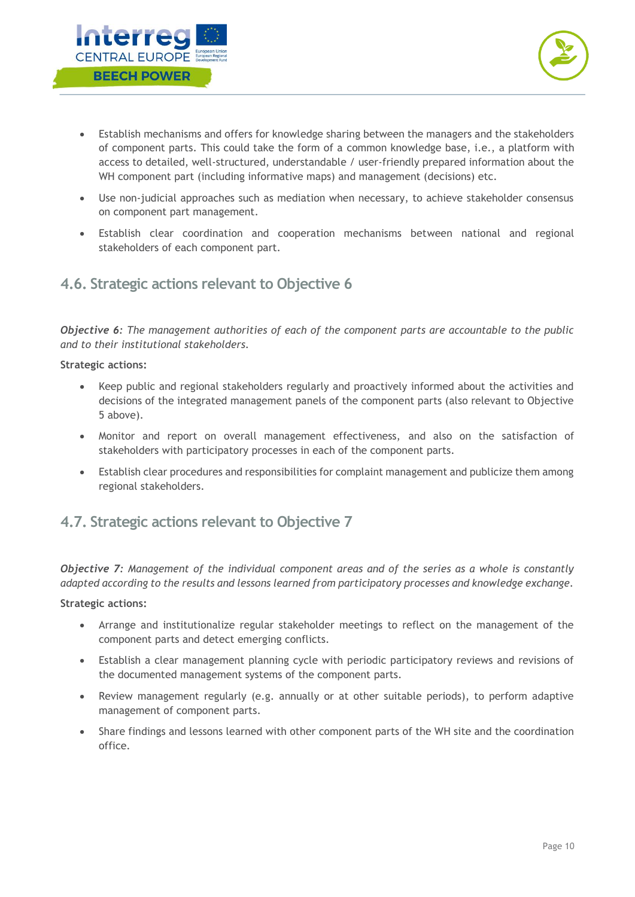



- Establish mechanisms and offers for knowledge sharing between the managers and the stakeholders of component parts. This could take the form of a common knowledge base, i.e., a platform with access to detailed, well-structured, understandable / user-friendly prepared information about the WH component part (including informative maps) and management (decisions) etc.
- Use non-judicial approaches such as mediation when necessary, to achieve stakeholder consensus on component part management.
- Establish clear coordination and cooperation mechanisms between national and regional stakeholders of each component part.

### <span id="page-10-0"></span>**4.6. Strategic actions relevant to Objective 6**

*Objective 6: The management authorities of each of the component parts are accountable to the public and to their institutional stakeholders.*

#### **Strategic actions:**

- Keep public and regional stakeholders regularly and proactively informed about the activities and decisions of the integrated management panels of the component parts (also relevant to Objective 5 above).
- Monitor and report on overall management effectiveness, and also on the satisfaction of stakeholders with participatory processes in each of the component parts.
- Establish clear procedures and responsibilities for complaint management and publicize them among regional stakeholders.

#### <span id="page-10-1"></span>**4.7. Strategic actions relevant to Objective 7**

*Objective 7: Management of the individual component areas and of the series as a whole is constantly adapted according to the results and lessons learned from participatory processes and knowledge exchange.*

#### **Strategic actions:**

- Arrange and institutionalize regular stakeholder meetings to reflect on the management of the component parts and detect emerging conflicts.
- Establish a clear management planning cycle with periodic participatory reviews and revisions of the documented management systems of the component parts.
- Review management regularly (e.g. annually or at other suitable periods), to perform adaptive management of component parts.
- Share findings and lessons learned with other component parts of the WH site and the coordination office.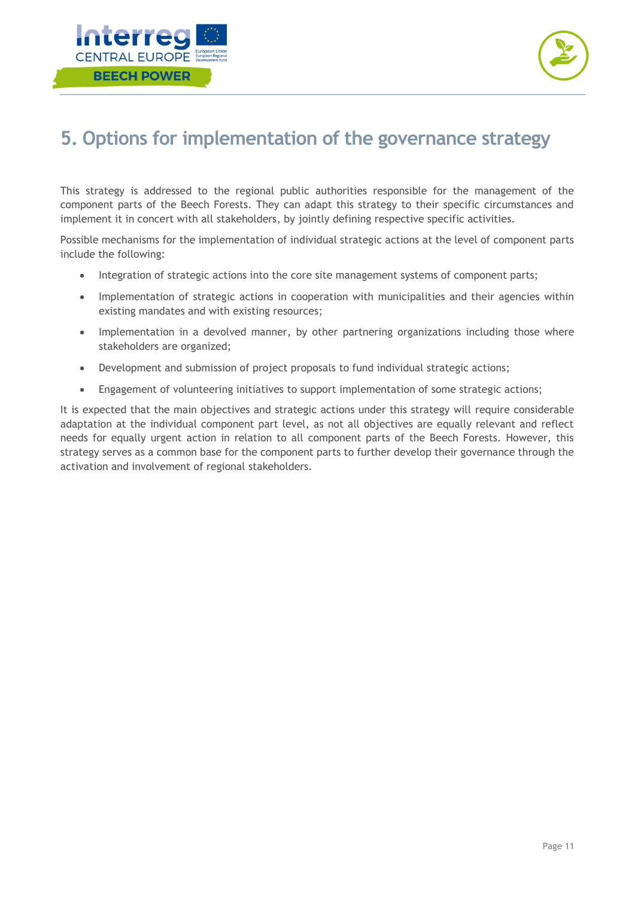



## <span id="page-11-0"></span>**5. Options for implementation of the governance strategy**

This strategy is addressed to the regional public authorities responsible for the management of the component parts of the Beech Forests. They can adapt this strategy to their specific circumstances and implement it in concert with all stakeholders, by jointly defining respective specific activities.

Possible mechanisms for the implementation of individual strategic actions at the level of component parts include the following:

- Integration of strategic actions into the core site management systems of component parts;
- Implementation of strategic actions in cooperation with municipalities and their agencies within existing mandates and with existing resources;
- Implementation in a devolved manner, by other partnering organizations including those where stakeholders are organized;
- Development and submission of project proposals to fund individual strategic actions;
- Engagement of volunteering initiatives to support implementation of some strategic actions;

It is expected that the main objectives and strategic actions under this strategy will require considerable adaptation at the individual component part level, as not all objectives are equally relevant and reflect needs for equally urgent action in relation to all component parts of the Beech Forests. However, this strategy serves as a common base for the component parts to further develop their governance through the activation and involvement of regional stakeholders.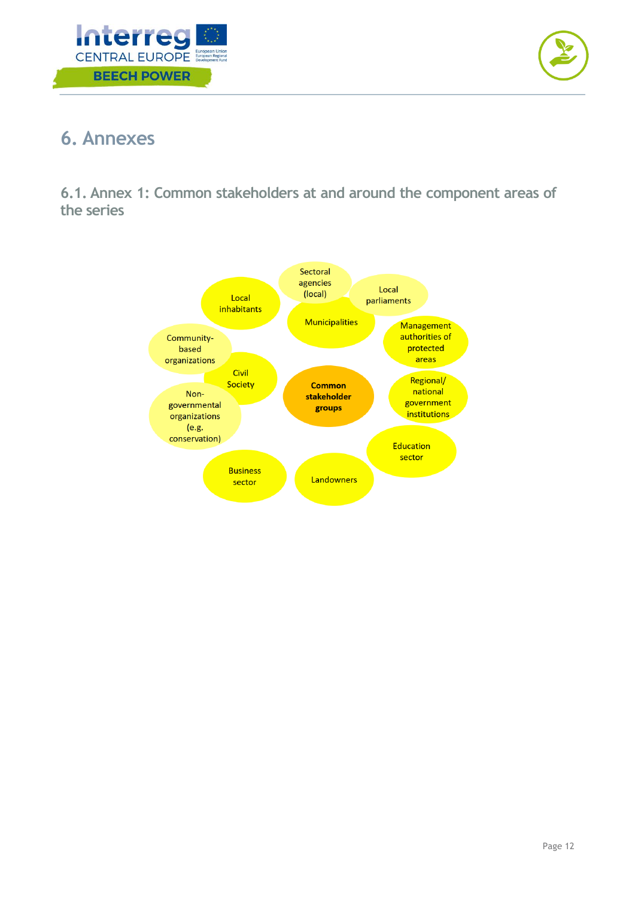



## <span id="page-12-0"></span>**6. Annexes**

<span id="page-12-1"></span>**6.1. Annex 1: Common stakeholders at and around the component areas of the series**